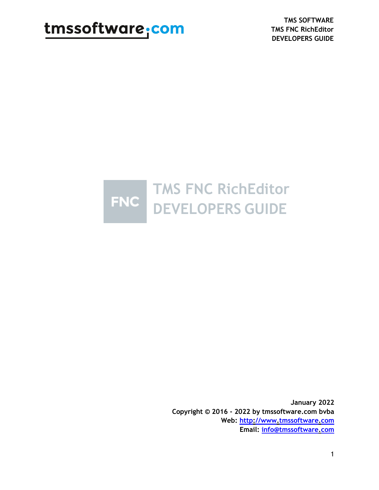**TMS SOFTWARE TMS FNC RichEditor DEVELOPERS GUIDE**



**January 2022 Copyright © 2016 - 2022 by tmssoftware.com bvba Web: [http://www.tmssoftware.com](http://www.tmssoftware.com/) Email: [info@tmssoftware.com](mailto:info@tmssoftware.com)**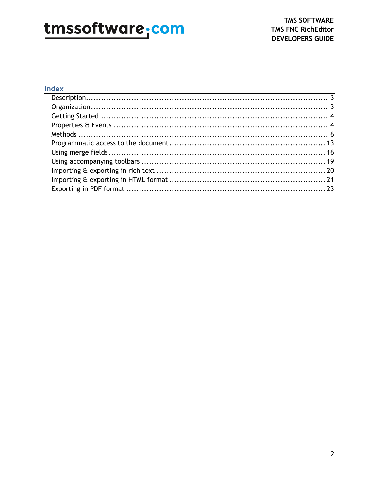#### Index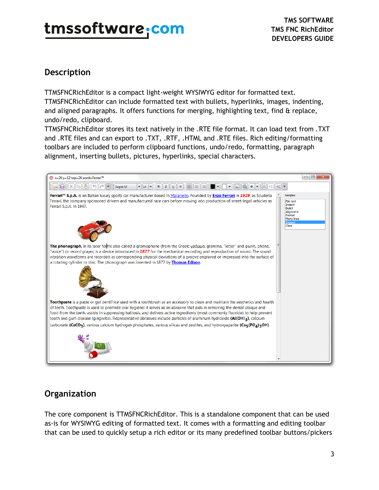### <span id="page-2-0"></span>**Description**

TTMSFNCRichEditor is a compact light-weight WYSIWYG editor for formatted text. TTMSFNCRichEditor can include formatted text with bullets, hyperlinks, images, indenting, and aligned paragraphs. It offers functions for merging, highlighting text, find & replace, undo/redo, clipboard.

TTMSFNCRichEditor stores its text natively in the .RTE file format. It can load text from .TXT and .RTE files and can export to .TXT, .RTF, .HTML and .RTE files. Rich editing/formatting toolbars are included to perform clipboard functions, undo/redo, formatting, paragraph alignment, inserting bullets, pictures, hyperlinks, special characters.



### <span id="page-2-1"></span>**Organization**

The core component is TTMSFNCRichEditor. This is a standalone component that can be used as-is for WYSIWYG editing of formatted text. It comes with a formatting and editing toolbar that can be used to quickly setup a rich editor or its many predefined toolbar buttons/pickers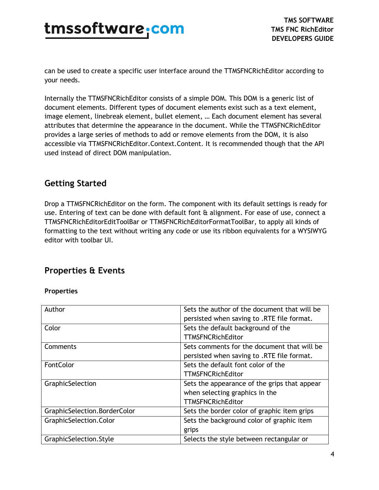can be used to create a specific user interface around the TTMSFNCRichEditor according to your needs.

Internally the TTMSFNCRichEditor consists of a simple DOM. This DOM is a generic list of document elements. Different types of document elements exist such as a text element, image element, linebreak element, bullet element, … Each document element has several attributes that determine the appearance in the document. While the TTMSFNCRichEditor provides a large series of methods to add or remove elements from the DOM, it is also accessible via TTMSFNCRichEditor.Context.Content. It is recommended though that the API used instead of direct DOM manipulation.

### <span id="page-3-0"></span>**Getting Started**

Drop a TTMSFNCRichEditor on the form. The component with its default settings is ready for use. Entering of text can be done with default font & alignment. For ease of use, connect a TTMSFNCRichEditorEditToolBar or TTMSFNCRichEditorFormatToolBar, to apply all kinds of formatting to the text without writing any code or use its ribbon equivalents for a WYSIWYG editor with toolbar UI.

#### <span id="page-3-1"></span>**Properties & Events**

#### **Properties**

| Author                       | Sets the author of the document that will be |
|------------------------------|----------------------------------------------|
|                              | persisted when saving to .RTE file format.   |
| Color                        | Sets the default background of the           |
|                              | <b>TTMSFNCRichEditor</b>                     |
| Comments                     | Sets comments for the document that will be  |
|                              | persisted when saving to .RTE file format.   |
| FontColor                    | Sets the default font color of the           |
|                              | <b>TTMSFNCRichEditor</b>                     |
| GraphicSelection             | Sets the appearance of the grips that appear |
|                              | when selecting graphics in the               |
|                              | <b>TTMSFNCRichEditor</b>                     |
| GraphicSelection.BorderColor | Sets the border color of graphic item grips  |
| GraphicSelection.Color       | Sets the background color of graphic item    |
|                              | grips                                        |
| GraphicSelection.Style       | Selects the style between rectangular or     |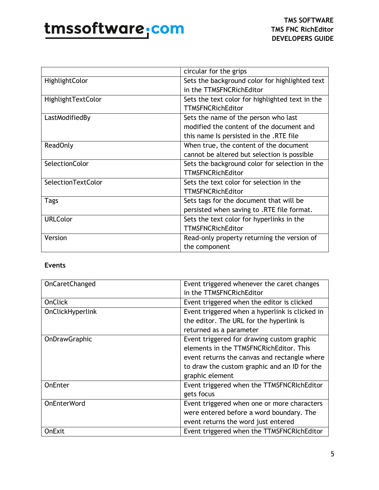|                       | circular for the grips                          |
|-----------------------|-------------------------------------------------|
| HighlightColor        | Sets the background color for highlighted text  |
|                       | in the TTMSFNCRichEditor                        |
| HighlightTextColor    | Sets the text color for highlighted text in the |
|                       | <b>TTMSFNCRichEditor</b>                        |
| LastModifiedBy        | Sets the name of the person who last            |
|                       | modified the content of the document and        |
|                       | this name Is persisted in the .RTE file         |
| <b>ReadOnly</b>       | When true, the content of the document          |
|                       | cannot be altered but selection is possible     |
| <b>SelectionColor</b> | Sets the background color for selection in the  |
|                       | <b>TTMSFNCRichEditor</b>                        |
| SelectionTextColor    | Sets the text color for selection in the        |
|                       | <b>TTMSFNCRichEditor</b>                        |
| <b>Tags</b>           | Sets tags for the document that will be         |
|                       | persisted when saving to .RTE file format.      |
| <b>URLColor</b>       | Sets the text color for hyperlinks in the       |
|                       | <b>TTMSFNCRichEditor</b>                        |
| Version               | Read-only property returning the version of     |
|                       | the component                                   |

#### **Events**

| OnCaretChanged     | Event triggered whenever the caret changes     |
|--------------------|------------------------------------------------|
|                    | in the TTMSFNCRichEditor                       |
| <b>OnClick</b>     | Event triggered when the editor is clicked     |
| OnClickHyperlink   | Event triggered when a hyperlink is clicked in |
|                    | the editor. The URL for the hyperlink is       |
|                    | returned as a parameter                        |
| OnDrawGraphic      | Event triggered for drawing custom graphic     |
|                    | elements in the TTMSFNCRichEditor. This        |
|                    | event returns the canvas and rectangle where   |
|                    | to draw the custom graphic and an ID for the   |
|                    | graphic element                                |
| OnEnter            | Event triggered when the TTMSFNCRIchEditor     |
|                    | gets focus                                     |
| <b>OnEnterWord</b> | Event triggered when one or more characters    |
|                    | were entered before a word boundary. The       |
|                    | event returns the word just entered            |
| <b>OnExit</b>      | Event triggered when the TTMSFNCRIchEditor     |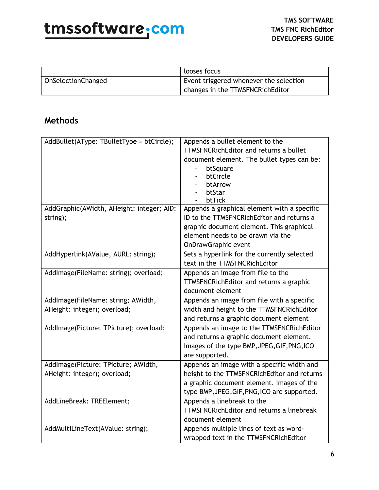|                    | looses focus                           |
|--------------------|----------------------------------------|
| OnSelectionChanged | Event triggered whenever the selection |
|                    | changes in the TTMSFNCRichEditor       |

#### <span id="page-5-0"></span>**Methods**

| AddBullet(AType: TBulletType = btCircle); | Appends a bullet element to the                       |
|-------------------------------------------|-------------------------------------------------------|
|                                           | <b>TTMSFNCRichEditor and returns a bullet</b>         |
|                                           | document element. The bullet types can be:            |
|                                           | btSquare                                              |
|                                           | btCircle                                              |
|                                           | btArrow                                               |
|                                           | btStar                                                |
| AddGraphic(AWidth, AHeight: integer; AID: | btTick<br>Appends a graphical element with a specific |
|                                           | ID to the TTMSFNCRichEditor and returns a             |
| string);                                  |                                                       |
|                                           | graphic document element. This graphical              |
|                                           | element needs to be drawn via the                     |
|                                           | <b>OnDrawGraphic event</b>                            |
| AddHyperlink(AValue, AURL: string);       | Sets a hyperlink for the currently selected           |
|                                           | text in the TTMSFNCRichEditor                         |
| AddImage(FileName: string); overload;     | Appends an image from file to the                     |
|                                           | TTMSFNCRichEditor and returns a graphic               |
|                                           | document element                                      |
| AddImage(FileName: string; AWidth,        | Appends an image from file with a specific            |
| AHeight: integer); overload;              | width and height to the TTMSFNCRichEditor             |
|                                           | and returns a graphic document element                |
| AddImage(Picture: TPicture); overload;    | Appends an image to the TTMSFNCRichEditor             |
|                                           | and returns a graphic document element.               |
|                                           | Images of the type BMP, JPEG, GIF, PNG, ICO           |
|                                           | are supported.                                        |
| AddImage(Picture: TPicture; AWidth,       | Appends an image with a specific width and            |
| AHeight: integer); overload;              | height to the TTMSFNCRichEditor and returns           |
|                                           | a graphic document element. Images of the             |
|                                           | type BMP, JPEG, GIF, PNG, ICO are supported.          |
| AddLineBreak: TREElement;                 | Appends a linebreak to the                            |
|                                           | <b>TTMSFNCRichEditor and returns a linebreak</b>      |
|                                           | document element                                      |
| AddMultiLineText(AValue: string);         | Appends multiple lines of text as word-               |
|                                           | wrapped text in the TTMSFNCRichEditor                 |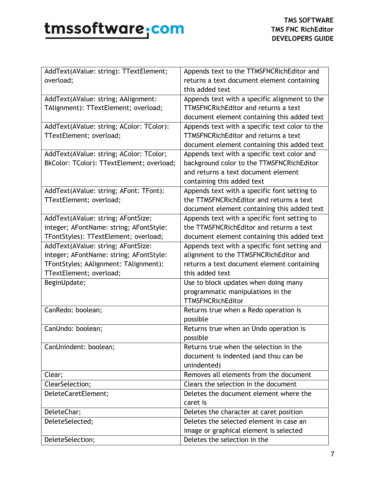| AddText(AValue: string): TTextElement;    | Appends text to the TTMSFNCRichEditor and      |
|-------------------------------------------|------------------------------------------------|
| overload;                                 | returns a text document element containing     |
|                                           | this added text                                |
| AddText(AValue: string; AAlignment:       | Appends text with a specific alignment to the  |
| TAlignment): TTextElement; overload;      | <b>TTMSFNCRichEditor and returns a text</b>    |
|                                           | document element containing this added text    |
| AddText(AValue: string; AColor: TColor):  | Appends text with a specific text color to the |
| TTextElement; overload;                   | <b>TTMSFNCRichEditor and returns a text</b>    |
|                                           | document element containing this added text    |
| AddText(AValue: string; AColor: TColor;   | Appends text with a specific text color and    |
| BkColor: TColor): TTextElement; overload; | background color to the TTMSFNCRichEditor      |
|                                           | and returns a text document element            |
|                                           | containing this added text                     |
| AddText(AValue: string; AFont: TFont):    | Appends text with a specific font setting to   |
| TTextElement; overload;                   | the TTMSFNCRichEditor and returns a text       |
|                                           | document element containing this added text    |
| AddText(AValue: string; AFontSize:        | Appends text with a specific font setting to   |
| integer; AFontName: string; AFontStyle:   | the TTMSFNCRichEditor and returns a text       |
| TFontStyles): TTextElement; overload;     | document element containing this added text    |
| AddText(AValue: string; AFontSize:        | Appends text with a specific font setting and  |
| integer; AFontName: string; AFontStyle:   | alignment to the TTMSFNCRichEditor and         |
| TFontStyles; AAlignment: TAlignment):     | returns a text document element containing     |
| TTextElement; overload;                   | this added text                                |
| BeginUpdate;                              | Use to block updates when doing many           |
|                                           | programmatic manipulations in the              |
|                                           | <b>TTMSFNCRichEditor</b>                       |
| CanRedo: boolean;                         | Returns true when a Redo operation is          |
|                                           | possible                                       |
| CanUndo: boolean;                         | Returns true when an Undo operation is         |
|                                           | possible                                       |
| CanUnindent: boolean;                     | Returns true when the selection in the         |
|                                           | document is indented (and thsu can be          |
|                                           | unindented)                                    |
| Clear;                                    | Removes all elements from the document         |
| ClearSelection;                           | Clears the selection in the document           |
| DeleteCaretElement;                       | Deletes the document element where the         |
|                                           | caret is                                       |
| DeleteChar;                               | Deletes the character at caret position        |
| DeleteSelected;                           | Deletes the selected element in case an        |
|                                           | image or graphical element is selected         |
| DeleteSelection;                          | Deletes the selection in the                   |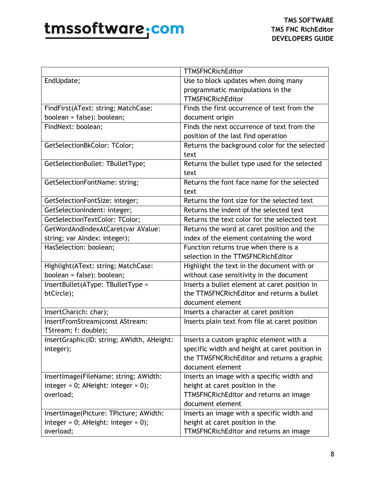|                                            | <b>TTMSFNCRichEditor</b>                       |
|--------------------------------------------|------------------------------------------------|
| EndUpdate;                                 | Use to block updates when doing many           |
|                                            | programmatic manipulations in the              |
|                                            | <b>TTMSFNCRichEditor</b>                       |
| FindFirst(AText: string; MatchCase:        | Finds the first occurrence of text from the    |
| boolean = false): boolean;                 | document origin                                |
| FindNext: boolean;                         | Finds the next occurrence of text from the     |
|                                            | position of the last find operation            |
| GetSelectionBkColor: TColor;               | Returns the background color for the selected  |
|                                            | text                                           |
| GetSelectionBullet: TBulletType;           | Returns the bullet type used for the selected  |
|                                            | text                                           |
| GetSelectionFontName: string;              | Returns the font face name for the selected    |
|                                            | text                                           |
| GetSelectionFontSize: integer;             | Returns the font size for the selected text    |
| GetSelectionIndent: integer;               | Returns the indent of the selected text        |
| GetSelectionTextColor: TColor;             | Returns the text color for the selected text   |
| GetWordAndIndexAtCaret(var AValue:         | Returns the word at caret position and the     |
| string; var Alndex: integer);              | index of the element containing the word       |
| HasSelection: boolean;                     | Function returns true when there is a          |
|                                            | selection in the TTMSFNCRichEditor             |
| Highlight(AText: string; MatchCase:        | Highlight the text in the document with or     |
| boolean = false): boolean;                 | without case sensitivity in the document       |
| InsertBullet(AType: TBulletType =          | Inserts a bullet element at caret position in  |
| btCircle);                                 | the TTMSFNCRichEditor and returns a bullet     |
|                                            | document element                               |
| InsertChar(ch: char);                      | Inserts a character at caret position          |
| InsertFromStream(const AStream:            | Inserts plain text from file at caret position |
| TStream; f: double);                       |                                                |
| InsertGraphic(ID: string; AWidth, AHeight: | Inserts a custom graphic element with a        |
| integer);                                  | specific width and height at caret position in |
|                                            | the TTMSFNCRichEditor and returns a graphic    |
|                                            | document element                               |
| InsertImage(FileName: string; AWidth:      | Inserts an image with a specific width and     |
| integer = $0$ ; AHeight: integer = $0$ );  | height at caret position in the                |
| overload;                                  | TTMSFNCRichEditor and returns an image         |
|                                            | document element                               |
| InsertImage(Picture: TPicture; AWidth:     | Inserts an image with a specific width and     |
| integer = $0$ ; AHeight: integer = $0$ );  | height at caret position in the                |
| overload;                                  | TTMSFNCRichEditor and returns an image         |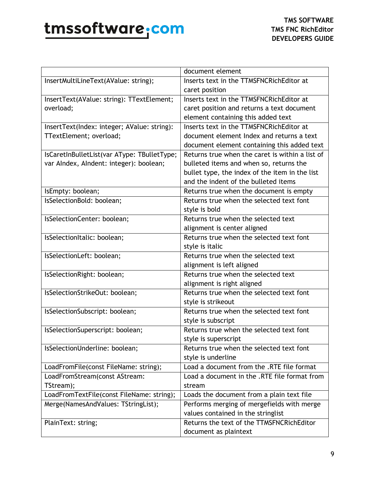|                                             | document element                                |
|---------------------------------------------|-------------------------------------------------|
| InsertMultiLineText(AValue: string);        | Inserts text in the TTMSFNCRichEditor at        |
|                                             | caret position                                  |
| InsertText(AValue: string): TTextElement;   | Inserts text in the TTMSFNCRichEditor at        |
| overload;                                   | caret position and returns a text document      |
|                                             | element containing this added text              |
| InsertText(Index: integer; AValue: string): | Inserts text in the TTMSFNCRichEditor at        |
| TTextElement; overload;                     | document element Index and returns a text       |
|                                             | document element containing this added text     |
| IsCaretInBulletList(var AType: TBulletType; | Returns true when the caret is within a list of |
| var Alndex, Alndent: integer): boolean;     | bulleted items and when so, returns the         |
|                                             | bullet type, the index of the item in the list  |
|                                             | and the indent of the bulleted items            |
| IsEmpty: boolean;                           | Returns true when the document is empty         |
| IsSelectionBold: boolean;                   | Returns true when the selected text font        |
|                                             | style is bold                                   |
| IsSelectionCenter: boolean;                 | Returns true when the selected text             |
|                                             | alignment is center aligned                     |
| IsSelectionItalic: boolean;                 | Returns true when the selected text font        |
|                                             | style is italic                                 |
| IsSelectionLeft: boolean;                   | Returns true when the selected text             |
|                                             | alignment is left aligned                       |
| IsSelectionRight: boolean;                  | Returns true when the selected text             |
|                                             | alignment is right aligned                      |
| IsSelectionStrikeOut: boolean;              | Returns true when the selected text font        |
|                                             | style is strikeout                              |
| IsSelectionSubscript: boolean;              | Returns true when the selected text font        |
|                                             | style is subscript                              |
| IsSelectionSuperscript: boolean;            | Returns true when the selected text font        |
|                                             | style is superscript                            |
| IsSelectionUnderline: boolean;              | Returns true when the selected text font        |
|                                             | style is underline                              |
| LoadFromFile(const FileName: string);       | Load a document from the .RTE file format       |
| LoadFromStream(const AStream:               | Load a document in the .RTE file format from    |
| TStream);                                   | stream                                          |
| LoadFromTextFile(const FileName: string);   | Loads the document from a plain text file       |
| Merge(NamesAndValues: TStringList);         | Performs merging of mergefields with merge      |
|                                             | values contained in the stringlist              |
| PlainText: string;                          | Returns the text of the TTMSFNCRichEditor       |
|                                             | document as plaintext                           |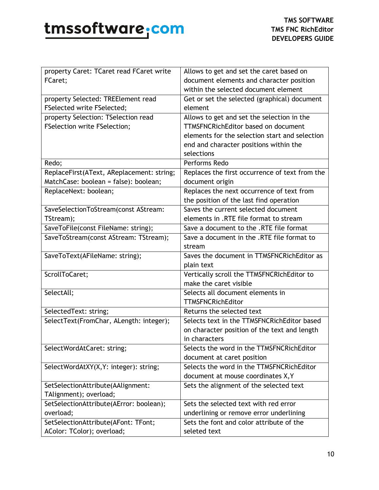| property Caret: TCaret read FCaret write  | Allows to get and set the caret based on       |
|-------------------------------------------|------------------------------------------------|
| FCaret;                                   | document elements and character position       |
|                                           | within the selected document element           |
| property Selected: TREElement read        | Get or set the selected (graphical) document   |
| <b>FSelected write FSelected;</b>         | element                                        |
| property Selection: TSelection read       | Allows to get and set the selection in the     |
| <b>FSelection write FSelection;</b>       | <b>TTMSFNCRichEditor based on document</b>     |
|                                           | elements for the selection start and selection |
|                                           | end and character positions within the         |
|                                           | selections                                     |
| Redo;                                     | Performs Redo                                  |
| ReplaceFirst(AText, AReplacement: string; | Replaces the first occurrence of text from the |
| MatchCase: boolean = false): boolean;     | document origin                                |
| ReplaceNext: boolean;                     | Replaces the next occurrence of text from      |
|                                           | the position of the last find operation        |
| SaveSelectionToStream(const AStream:      | Saves the current selected document            |
| TStream);                                 | elements in .RTE file format to stream         |
| SaveToFile(const FileName: string);       | Save a document to the .RTE file format        |
| SaveToStream(const AStream: TStream);     | Save a document in the .RTE file format to     |
|                                           | stream                                         |
| SaveToText(AFileName: string);            | Saves the document in TTMSFNCRichEditor as     |
|                                           | plain text                                     |
|                                           | Vertically scroll the TTMSFNCRIchEditor to     |
| ScrollToCaret;                            |                                                |
|                                           | make the caret visible                         |
| SelectAll;                                | Selects all document elements in               |
|                                           | <b>TTMSFNCRichEditor</b>                       |
| SelectedText: string;                     | Returns the selected text                      |
| SelectText(FromChar, ALength: integer);   | Selects text in the TTMSFNCRichEditor based    |
|                                           | on character position of the text and length   |
|                                           | in characters                                  |
| SelectWordAtCaret: string;                | Selects the word in the TTMSFNCRichEditor      |
|                                           | document at caret position                     |
| SelectWordAtXY(X,Y: integer): string;     | Selects the word in the TTMSFNCRichEditor      |
|                                           | document at mouse coordinates X, Y             |
| SetSelectionAttribute(AAlignment:         | Sets the alignment of the selected text        |
| TAlignment); overload;                    |                                                |
| SetSelectionAttribute(AError: boolean);   | Sets the selected text with red error          |
| overload;                                 | underlining or remove error underlining        |
| SetSelectionAttribute(AFont: TFont;       | Sets the font and color attribute of the       |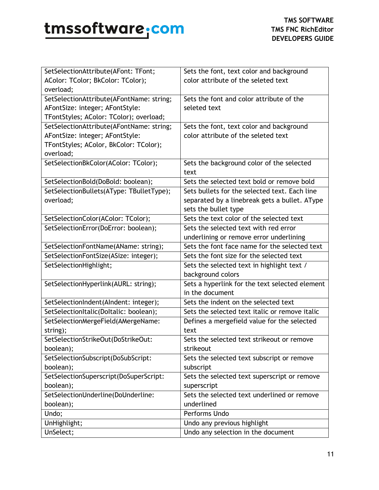| SetSelectionAttribute(AFont: TFont;      | Sets the font, text color and background          |
|------------------------------------------|---------------------------------------------------|
| AColor: TColor; BkColor: TColor);        | color attribute of the seleted text               |
| overload;                                |                                                   |
| SetSelectionAttribute(AFontName: string; | Sets the font and color attribute of the          |
| AFontSize: integer; AFontStyle:          | seleted text                                      |
| TFontStyles; AColor: TColor); overload;  |                                                   |
| SetSelectionAttribute(AFontName: string; | Sets the font, text color and background          |
| AFontSize: integer; AFontStyle:          | color attribute of the seleted text               |
| TFontStyles; AColor, BkColor: TColor);   |                                                   |
| overload;                                |                                                   |
| SetSelectionBkColor(AColor: TColor);     | Sets the background color of the selected<br>text |
| SetSelectionBold(DoBold: boolean);       | Sets the selected text bold or remove bold        |
| SetSelectionBullets(AType: TBulletType); | Sets bullets for the selected text. Each line     |
| overload;                                | separated by a linebreak gets a bullet. AType     |
|                                          | sets the bullet type                              |
| SetSelectionColor(AColor: TColor);       | Sets the text color of the selected text          |
| SetSelectionError(DoError: boolean);     | Sets the selected text with red error             |
|                                          | underlining or remove error underlining           |
| SetSelectionFontName(AName: string);     | Sets the font face name for the selected text     |
| SetSelectionFontSize(ASize: integer);    | Sets the font size for the selected text          |
| SetSelectionHighlight;                   | Sets the selected text in highlight text /        |
|                                          | background colors                                 |
| SetSelectionHyperlink(AURL: string);     | Sets a hyperlink for the text selected element    |
|                                          | in the document                                   |
| SetSelectionIndent(AIndent: integer);    | Sets the indent on the selected text              |
| SetSelectionItalic(DoItalic: boolean);   | Sets the selected text italic or remove italic    |
| SetSelectionMergeField(AMergeName:       | Defines a mergefield value for the selected       |
| string);                                 | text                                              |
| SetSelectionStrikeOut(DoStrikeOut:       | Sets the selected text strikeout or remove        |
| boolean);                                | strikeout                                         |
| SetSelectionSubscript(DoSubScript:       | Sets the selected text subscript or remove        |
| boolean);                                | subscript                                         |
| SetSelectionSuperscript(DoSuperScript:   | Sets the selected text superscript or remove      |
| boolean);                                | superscript                                       |
| SetSelectionUnderline(DoUnderline:       | Sets the selected text underlined or remove       |
| boolean);                                | underlined                                        |
| Undo;                                    | Performs Undo                                     |
| UnHighlight;                             | Undo any previous highlight                       |
| UnSelect;                                | Undo any selection in the document                |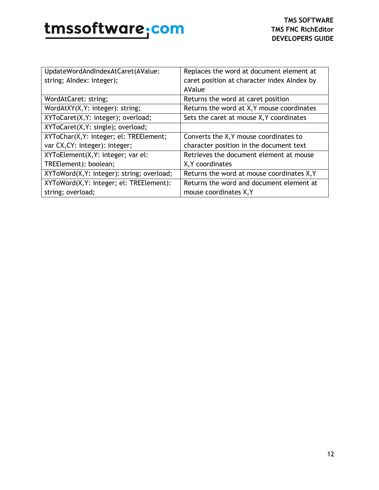| UpdateWordAndIndexAtCaret(AValue:          | Replaces the word at document element at    |
|--------------------------------------------|---------------------------------------------|
| string; Alndex: integer);                  | caret position at character index Alndex by |
|                                            | AValue                                      |
| WordAtCaret: string;                       | Returns the word at caret position          |
| WordAtXY(X, Y: integer): string;           | Returns the word at X, Y mouse coordinates  |
| XYToCaret(X, Y: integer); overload;        | Sets the caret at mouse X, Y coordinates    |
| XYToCaret(X, Y: single); overload;         |                                             |
| XYToChar(X, Y: integer; el: TREElement;    | Converts the X, Y mouse coordinates to      |
| var CX, CY: integer): integer;             | character position in the document text     |
| XYToElement(X, Y: integer; var el:         | Retrieves the document element at mouse     |
| TREElement): boolean;                      | X, Y coordinates                            |
| XYToWord(X, Y: integer): string; overload; | Returns the word at mouse coordinates X, Y  |
| XYToWord(X, Y: integer; el: TREElement):   | Returns the word and document element at    |
| string; overload;                          | mouse coordinates X, Y                      |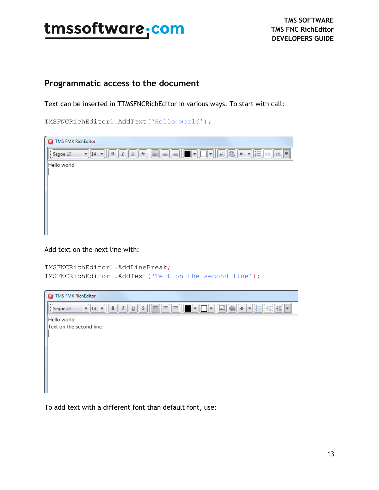### <span id="page-12-0"></span>**Programmatic access to the document**

Text can be inserted in TTMSFNCRichEditor in various ways. To start with call:

TMSFNCRichEditor1.AddText('Hello world');

| TMS FMX RichEditor<br>a                                                                                                                                                                  |
|------------------------------------------------------------------------------------------------------------------------------------------------------------------------------------------|
| lli<br>這<br>€<br>le<br>름<br>$\overline{\phantom{a}}$<br><b>A</b><br>$\bar{\epsilon}$<br>÷<br>트<br>理<br>$\underline{\mathsf{U}}$<br>B<br>Segoe UI<br>I<br>∣₹<br>14<br>÷<br>$\bullet$<br>÷ |
| Hello world                                                                                                                                                                              |
|                                                                                                                                                                                          |
|                                                                                                                                                                                          |
|                                                                                                                                                                                          |
|                                                                                                                                                                                          |
|                                                                                                                                                                                          |
|                                                                                                                                                                                          |
|                                                                                                                                                                                          |

Add text on the next line with:

```
TMSFNCRichEditor1.AddLineBreak;
TMSFNCRichEditor1.AddText('Text on the second line');
```

| <b>TMS FMX RichEditor</b><br>с                                                                                                                                                                       |
|------------------------------------------------------------------------------------------------------------------------------------------------------------------------------------------------------|
| ı.<br>EEEE<br>$\left  \frac{1}{3} \right $<br>$\qquad \qquad \textcircled{\small\textrm{R}}$<br>A.<br><b>红 担</b><br>$\mathcal{S}$<br>▏╤<br>Segoe UI<br>14<br>B<br>⊍<br>÷<br>÷<br>٠<br>$\bullet$<br>H |
| Hello world                                                                                                                                                                                          |
| Text on the second line                                                                                                                                                                              |
|                                                                                                                                                                                                      |
|                                                                                                                                                                                                      |
|                                                                                                                                                                                                      |
|                                                                                                                                                                                                      |
|                                                                                                                                                                                                      |
|                                                                                                                                                                                                      |
|                                                                                                                                                                                                      |

To add text with a different font than default font, use: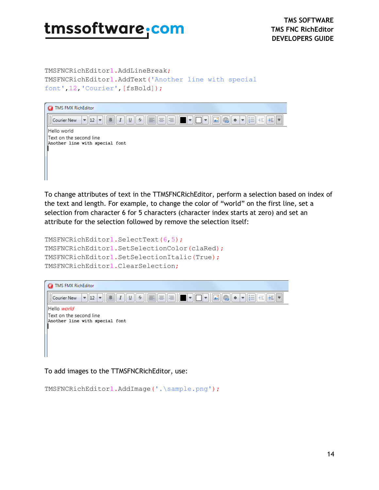TMSFNCRichEditor1.AddLineBreak; TMSFNCRichEditor1.AddText('Another line with special font',12,'Courier',[fsBold]);



To change attributes of text in the TTMSFNCRichEditor, perform a selection based on index of the text and length. For example, to change the color of "world" on the first line, set a selection from character 6 for 5 characters (character index starts at zero) and set an attribute for the selection followed by remove the selection itself:

```
TMSFNCRichEditor1.SelectText(6,5);
TMSFNCRichEditor1.SetSelectionColor(claRed);
TMSFNCRichEditor1.SetSelectionItalic(True);
TMSFNCRichEditor1.ClearSelection;
```


To add images to the TTMSFNCRichEditor, use:

```
TMSFNCRichEditor1.AddImage('.\sample.png');
```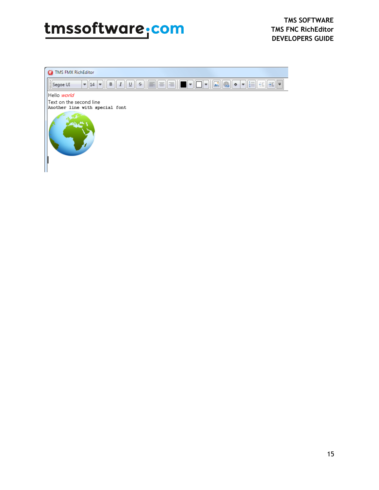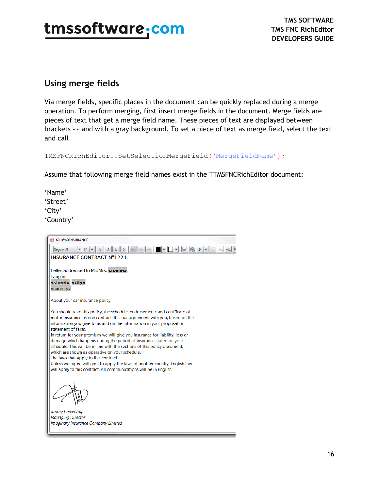#### <span id="page-15-0"></span>**Using merge fields**

Via merge fields, specific places in the document can be quickly replaced during a merge operation. To perform merging, first insert merge fields in the document. Merge fields are pieces of text that get a merge field name. These pieces of text are displayed between brackets «» and with a gray background. To set a piece of text as merge field, select the text and call

TMSFNCRichEditor1.SetSelectionMergeField('MergeFieldName');

Assume that following merge field names exist in the TTMSFNCRichEditor document:

'Name' 'Street' 'City' 'Country'

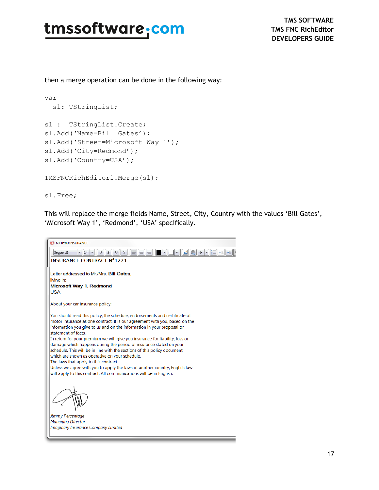then a merge operation can be done in the following way:

```
var
   sl: TStringList;
sl := TStringList.Create;
sl.Add('Name=Bill Gates');
sl.Add('Street=Microsoft Way 1');
sl.Add('City=Redmond');
sl.Add('Country=USA');
TMSFNCRichEditor1.Merge(sl);
```
sl.Free;

This will replace the merge fields Name, Street, City, Country with the values 'Bill Gates', 'Microsoft Way 1', 'Redmond', 'USA' specifically.

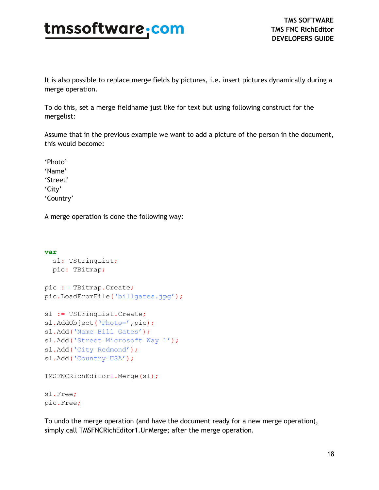It is also possible to replace merge fields by pictures, i.e. insert pictures dynamically during a merge operation.

To do this, set a merge fieldname just like for text but using following construct for the mergelist:

Assume that in the previous example we want to add a picture of the person in the document, this would become:

'Photo' 'Name' 'Street' 'City' 'Country'

A merge operation is done the following way:

```
var
   sl: TStringList;
  pic: TBitmap;
pic := TBitmap.Create;
pic.LoadFromFile('billgates.jpg');
sl := TStringList.Create;
sl.AddObject('Photo=',pic);
sl.Add('Name=Bill Gates');
sl.Add('Street=Microsoft Way 1');
sl.Add('City=Redmond');
sl.Add('Country=USA');
TMSFNCRichEditor1.Merge(sl);
sl.Free;
pic.Free;
```
To undo the merge operation (and have the document ready for a new merge operation), simply call TMSFNCRichEditor1.UnMerge; after the merge operation.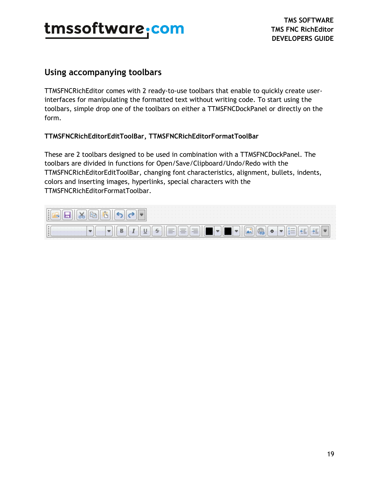#### <span id="page-18-0"></span>**Using accompanying toolbars**

TTMSFNCRichEditor comes with 2 ready-to-use toolbars that enable to quickly create userinterfaces for manipulating the formatted text without writing code. To start using the toolbars, simple drop one of the toolbars on either a TTMSFNCDockPanel or directly on the form.

#### **TTMSFNCRichEditorEditToolBar, TTMSFNCRichEditorFormatToolBar**

These are 2 toolbars designed to be used in combination with a TTMSFNCDockPanel. The toolbars are divided in functions for Open/Save/Clipboard/Undo/Redo with the TTMSFNCRichEditorEditToolBar, changing font characteristics, alignment, bullets, indents, colors and inserting images, hyperlinks, special characters with the TTMSFNCRichEditorFormatToolbar.

| $-1$ $-11$ |  |  |  |  |  |  |  |  |                                                      |  |  |  |  |
|------------|--|--|--|--|--|--|--|--|------------------------------------------------------|--|--|--|--|
|            |  |  |  |  |  |  |  |  | $\bigcirc$ $\bullet$ $\bullet$ $\bigcirc$ $\bigcirc$ |  |  |  |  |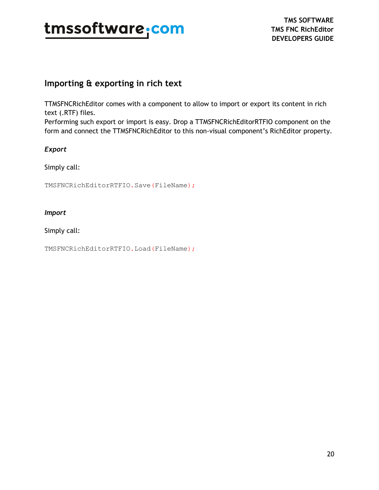### <span id="page-19-0"></span>**Importing & exporting in rich text**

TTMSFNCRichEditor comes with a component to allow to import or export its content in rich text (.RTF) files.

Performing such export or import is easy. Drop a TTMSFNCRichEditorRTFIO component on the form and connect the TTMSFNCRichEditor to this non-visual component's RichEditor property.

#### *Export*

Simply call:

TMSFNCRichEditorRTFIO.Save(FileName);

#### *Import*

Simply call:

TMSFNCRichEditorRTFIO.Load(FileName);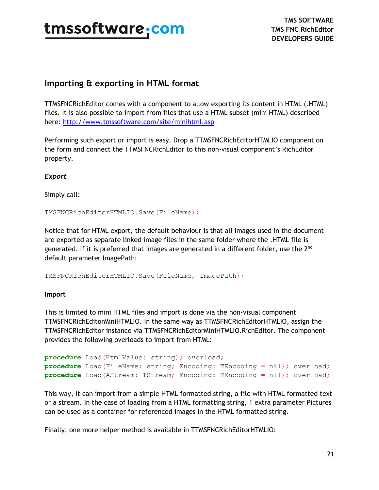### <span id="page-20-0"></span>**Importing & exporting in HTML format**

TTMSFNCRichEditor comes with a component to allow exporting its content in HTML (.HTML) files. It is also possible to import from files that use a HTML subset (mini HTML) described here:<http://www.tmssoftware.com/site/minihtml.asp>

Performing such export or import is easy. Drop a TTMSFNCRichEditorHTMLIO component on the form and connect the TTMSFNCRichEditor to this non-visual component's RichEditor property.

*Export*

Simply call:

TMSFNCRichEditorHTMLIO.Save(FileName);

Notice that for HTML export, the default behaviour is that all images used in the document are exported as separate linked image files in the same folder where the .HTML file is generated. If it is preferred that images are generated in a different folder, use the  $2<sup>nd</sup>$ default parameter ImagePath:

TMSFNCRichEditorHTMLIO.Save(FileName, ImagePath);

#### **Import**

This is limited to mini HTML files and import is done via the non-visual component TTMSFNCRichEditorMiniHTMLIO. In the same way as TTMSFNCRichEditorHTMLIO, assign the TTMSFNCRichEditor instance via TTMSFNCRichEditorMiniHTMLIO.RichEditor. The component provides the following overloads to import from HTML:

```
procedure Load(HtmlValue: string); overload;
procedure Load(FileName: string; Encoding: TEncoding = nil); overload;
procedure Load(AStream: TStream; Encoding: TEncoding = nil); overload;
```
This way, it can import from a simple HTML formatted string, a file with HTML formatted text or a stream. In the case of loading from a HTML formatting string, 1 extra parameter Pictures can be used as a container for referenced images in the HTML formatted string.

Finally, one more helper method is available in TTMSFNCRichEditorHTMLIO: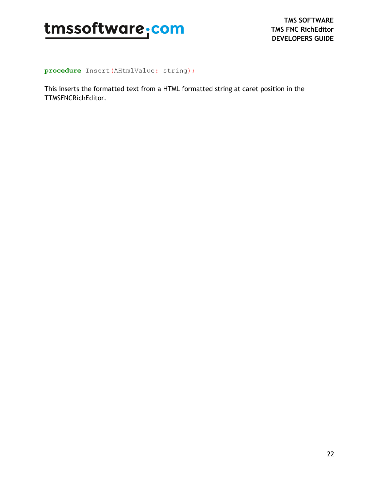

**procedure** Insert(AHtmlValue: string);

This inserts the formatted text from a HTML formatted string at caret position in the TTMSFNCRichEditor.